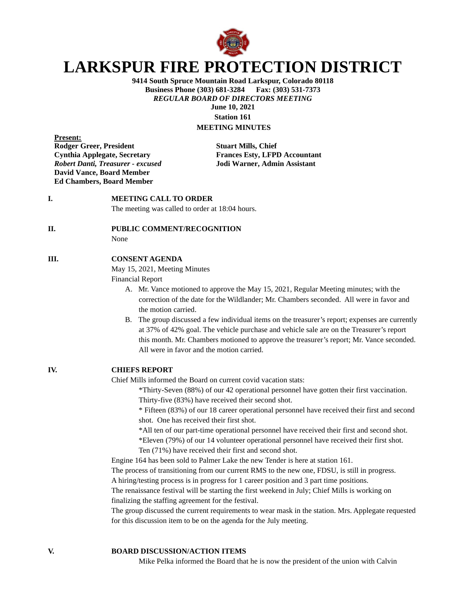

# **LARKSPUR FIRE PROTECTION DISTRICT**

**9414 South Spruce Mountain Road Larkspur, Colorado 80118 Business Phone (303) 681-3284** *REGULAR BOARD OF DIRECTORS MEETING* **June 10, 2021**

**Station 161 MEETING MINUTES**

**Present: Rodger Greer, President Stuart Mills, Chief Cynthia Applegate, Secretary Frances Esty, LFPD Accountant** *Robert Danti, Treasurer - excused* **Jodi Warner, Admin Assistant David Vance, Board Member Ed Chambers, Board Member**

# **I. MEETING CALL TO ORDER**

The meeting was called to order at 18:04 hours.

**II. PUBLIC COMMENT/RECOGNITION**

None

### **III. CONSENT AGENDA**

May 15, 2021, Meeting Minutes

Financial Report

- A. Mr. Vance motioned to approve the May 15, 2021, Regular Meeting minutes; with the correction of the date for the Wildlander; Mr. Chambers seconded. All were in favor and the motion carried.
- B. The group discussed a few individual items on the treasurer's report; expenses are currently at 37% of 42% goal. The vehicle purchase and vehicle sale are on the Treasurer's report this month. Mr. Chambers motioned to approve the treasurer's report; Mr. Vance seconded. All were in favor and the motion carried.

## **IV. CHIEFS REPORT**

Chief Mills informed the Board on current covid vacation stats:

\*Thirty-Seven (88%) of our 42 operational personnel have gotten their first vaccination. Thirty-five (83%) have received their second shot.

\* Fifteen (83%) of our 18 career operational personnel have received their first and second shot. One has received their first shot.

\*All ten of our part-time operational personnel have received their first and second shot. \*Eleven (79%) of our 14 volunteer operational personnel have received their first shot. Ten (71%) have received their first and second shot.

Engine 164 has been sold to Palmer Lake the new Tender is here at station 161.

The process of transitioning from our current RMS to the new one, FDSU, is still in progress.

A hiring/testing process is in progress for 1 career position and 3 part time positions.

The renaissance festival will be starting the first weekend in July; Chief Mills is working on finalizing the staffing agreement for the festival.

The group discussed the current requirements to wear mask in the station. Mrs. Applegate requested for this discussion item to be on the agenda for the July meeting.

**V. BOARD DISCUSSION/ACTION ITEMS**

Mike Pelka informed the Board that he is now the president of the union with Calvin